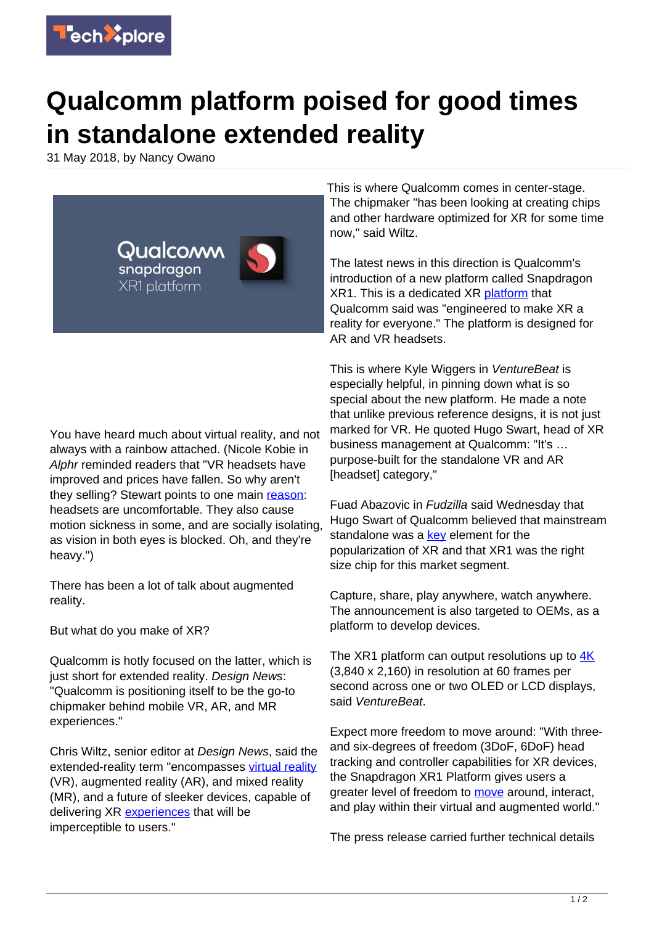

## **Qualcomm platform poised for good times in standalone extended reality**

31 May 2018, by Nancy Owano



You have heard much about virtual reality, and not always with a rainbow attached. (Nicole Kobie in Alphr reminded readers that "VR headsets have improved and prices have fallen. So why aren't they selling? Stewart points to one main [reason](http://www.alphr.com/technology/1009462/pessimist-vr-ai-driverless-cars-bitcoin-blockchain): headsets are uncomfortable. They also cause motion sickness in some, and are socially isolating, as vision in both eyes is blocked. Oh, and they're heavy.")

There has been a lot of talk about augmented reality.

But what do you make of XR?

Qualcomm is hotly focused on the latter, which is just short for extended reality. Design News: "Qualcomm is positioning itself to be the go-to chipmaker behind mobile VR, AR, and MR experiences."

Chris Wiltz, senior editor at Design News, said the extended-reality term "encompasses [virtual reality](https://techxplore.com/tags/virtual+reality/) (VR), augmented reality (AR), and mixed reality (MR), and a future of sleeker devices, capable of delivering XR [experiences](https://www.designnews.com/electronics-test/how-qualcomm-designs-chips-mobile-vr-revolution/15779768058799) that will be imperceptible to users."

This is where Qualcomm comes in center-stage. The chipmaker "has been looking at creating chips and other hardware optimized for XR for some time now," said Wiltz.

The latest news in this direction is Qualcomm's introduction of a new platform called Snapdragon XR1. This is a dedicated XR [platform](https://www.qualcomm.com/products/snapdragon-xr1-platform) that Qualcomm said was "engineered to make XR a reality for everyone." The platform is designed for AR and VR headsets.

This is where Kyle Wiggers in VentureBeat is especially helpful, in pinning down what is so special about the new platform. He made a note that unlike previous reference designs, it is not just marked for VR. He quoted Hugo Swart, head of XR business management at Qualcomm: "It's … purpose-built for the standalone VR and AR [headset] category,"

Fuad Abazovic in Fudzilla said Wednesday that Hugo Swart of Qualcomm believed that mainstream standalone was a [key](https://www.fudzilla.com/news/graphics/46407-qualcomm-xr1-is-the-first-xr-platform) element for the popularization of XR and that XR1 was the right size chip for this market segment.

Capture, share, play anywhere, watch anywhere. The announcement is also targeted to OEMs, as a platform to develop devices.

The XR1 platform can output resolutions up to [4K](https://venturebeat.com/2018/05/29/qualcomm-unveils-snapdragon-xr1-reference-design-for-standalone-ar-and-vr-headsets/) (3,840 x 2,160) in resolution at 60 frames per second across one or two OLED or LCD displays, said VentureBeat.

Expect more freedom to move around: "With threeand six-degrees of freedom (3DoF, 6DoF) head tracking and controller capabilities for XR devices, the Snapdragon XR1 Platform gives users a greater level of freedom to [move](https://www.qualcomm.com/products/snapdragon-xr1-platform) around, interact, and play within their virtual and augmented world."

The press release carried further technical details